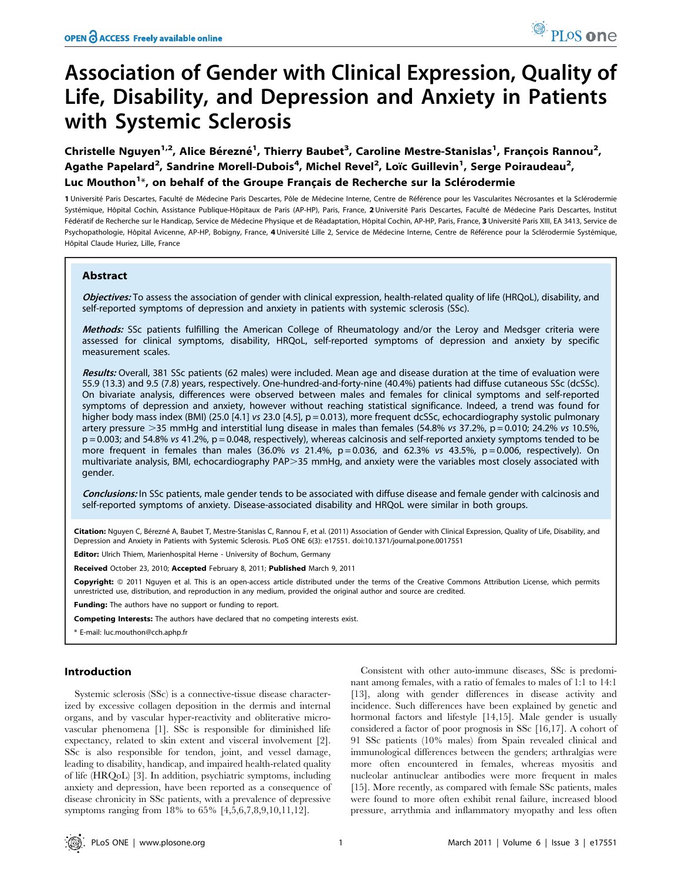# Association of Gender with Clinical Expression, Quality of Life, Disability, and Depression and Anxiety in Patients with Systemic Sclerosis

Christelle Nguyen<sup>1,2</sup>, Alice Bérezné<sup>1</sup>, Thierry Baubet<sup>3</sup>, Caroline Mestre-Stanislas<sup>1</sup>, François Rannou<sup>2</sup>, Agathe Papelard<sup>2</sup>, Sandrine Morell-Dubois<sup>4</sup>, Michel Revel<sup>2</sup>, Loïc Guillevin<sup>1</sup>, Serge Poiraudeau<sup>2</sup>, Luc Mouthon<sup>1\*</sup>, on behalf of the Groupe Français de Recherche sur la Sclérodermie

1 Université Paris Descartes, Faculté de Médecine Paris Descartes, Pôle de Médecine Interne, Centre de Référence pour les Vascularites Nécrosantes et la Sclérodermie Systémique, Hôpital Cochin, Assistance Publique-Hôpitaux de Paris (AP-HP), Paris, France, 2 Université Paris Descartes, Faculté de Médecine Paris Descartes, Institut Fédératif de Recherche sur le Handicap, Service de Médecine Physique et de Réadaptation, Hôpital Cochin, AP-HP, Paris, France, 3 Université Paris XIII, EA 3413, Service de Psychopathologie, Hôpital Avicenne, AP-HP, Bobigny, France, 4 Université Lille 2, Service de Médecine Interne, Centre de Référence pour la Sclérodermie Systémique, Hôpital Claude Huriez, Lille, France

# Abstract

Objectives: To assess the association of gender with clinical expression, health-related quality of life (HRQoL), disability, and self-reported symptoms of depression and anxiety in patients with systemic sclerosis (SSc).

Methods: SSc patients fulfilling the American College of Rheumatology and/or the Leroy and Medsger criteria were assessed for clinical symptoms, disability, HRQoL, self-reported symptoms of depression and anxiety by specific measurement scales.

Results: Overall, 381 SSc patients (62 males) were included. Mean age and disease duration at the time of evaluation were 55.9 (13.3) and 9.5 (7.8) years, respectively. One-hundred-and-forty-nine (40.4%) patients had diffuse cutaneous SSc (dcSSc). On bivariate analysis, differences were observed between males and females for clinical symptoms and self-reported symptoms of depression and anxiety, however without reaching statistical significance. Indeed, a trend was found for higher body mass index (BMI) (25.0 [4.1] vs 23.0 [4.5], p = 0.013), more frequent dcSSc, echocardiography systolic pulmonary artery pressure  $>$ 35 mmHg and interstitial lung disease in males than females (54.8% vs 37.2%, p = 0.010; 24.2% vs 10.5%, p = 0.003; and 54.8% vs 41.2%, p = 0.048, respectively), whereas calcinosis and self-reported anxiety symptoms tended to be more frequent in females than males  $(36.0\% \text{ vs } 21.4\% \text{ p} = 0.036, \text{ and } 62.3\% \text{ vs } 43.5\% \text{ p} = 0.006, \text{ respectively})$ . On multivariate analysis, BMI, echocardiography PAP>35 mmHg, and anxiety were the variables most closely associated with gender.

Conclusions: In SSc patients, male gender tends to be associated with diffuse disease and female gender with calcinosis and self-reported symptoms of anxiety. Disease-associated disability and HRQoL were similar in both groups.

Citation: Nguyen C, Bérezné A, Baubet T, Mestre-Stanislas C, Rannou F, et al. (2011) Association of Gender with Clinical Expression, Quality of Life, Disability, and Depression and Anxiety in Patients with Systemic Sclerosis. PLoS ONE 6(3): e17551. doi:10.1371/journal.pone.0017551

Editor: Ulrich Thiem, Marienhospital Herne - University of Bochum, Germany

Received October 23, 2010; Accepted February 8, 2011; Published March 9, 2011

Copyright: © 2011 Nguyen et al. This is an open-access article distributed under the terms of the Creative Commons Attribution License, which permits unrestricted use, distribution, and reproduction in any medium, provided the original author and source are credited.

**Funding:** The authors have no support or funding to report.

Competing Interests: The authors have declared that no competing interests exist.

\* E-mail: luc.mouthon@cch.aphp.fr

# Introduction

Systemic sclerosis (SSc) is a connective-tissue disease characterized by excessive collagen deposition in the dermis and internal organs, and by vascular hyper-reactivity and obliterative microvascular phenomena [1]. SSc is responsible for diminished life expectancy, related to skin extent and visceral involvement [2]. SSc is also responsible for tendon, joint, and vessel damage, leading to disability, handicap, and impaired health-related quality of life (HRQoL) [3]. In addition, psychiatric symptoms, including anxiety and depression, have been reported as a consequence of disease chronicity in SSc patients, with a prevalence of depressive symptoms ranging from 18% to 65% [4,5,6,7,8,9,10,11,12].

Consistent with other auto-immune diseases, SSc is predominant among females, with a ratio of females to males of 1:1 to 14:1 [13], along with gender differences in disease activity and incidence. Such differences have been explained by genetic and hormonal factors and lifestyle [14,15]. Male gender is usually considered a factor of poor prognosis in SSc [16,17]. A cohort of 91 SSc patients (10% males) from Spain revealed clinical and immunological differences between the genders; arthralgias were more often encountered in females, whereas myositis and nucleolar antinuclear antibodies were more frequent in males [15]. More recently, as compared with female SSc patients, males were found to more often exhibit renal failure, increased blood pressure, arrythmia and inflammatory myopathy and less often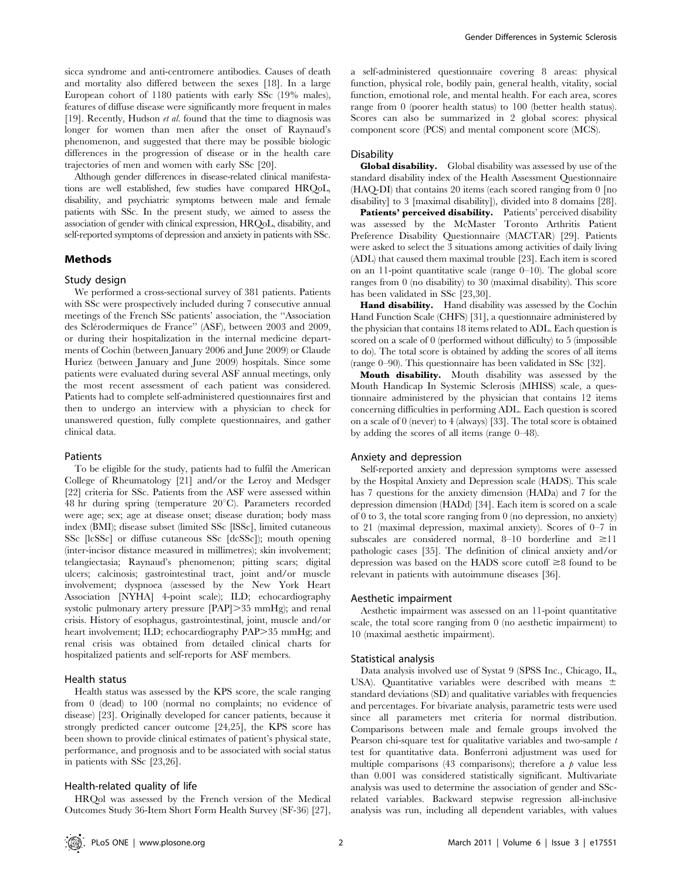sicca syndrome and anti-centromere antibodies. Causes of death and mortality also differed between the sexes [18]. In a large European cohort of 1180 patients with early SSc (19% males), features of diffuse disease were significantly more frequent in males [19]. Recently, Hudson et al. found that the time to diagnosis was longer for women than men after the onset of Raynaud's phenomenon, and suggested that there may be possible biologic differences in the progression of disease or in the health care trajectories of men and women with early SSc [20].

Although gender differences in disease-related clinical manifestations are well established, few studies have compared HRQoL, disability, and psychiatric symptoms between male and female patients with SSc. In the present study, we aimed to assess the association of gender with clinical expression, HRQoL, disability, and self-reported symptoms of depression and anxiety in patients with SSc.

## Methods

## Study design

We performed a cross-sectional survey of 381 patients. Patients with SSc were prospectively included during 7 consecutive annual meetings of the French SSc patients' association, the ''Association des Sclérodermiques de France" (ASF), between 2003 and 2009, or during their hospitalization in the internal medicine departments of Cochin (between January 2006 and June 2009) or Claude Huriez (between January and June 2009) hospitals. Since some patients were evaluated during several ASF annual meetings, only the most recent assessment of each patient was considered. Patients had to complete self-administered questionnaires first and then to undergo an interview with a physician to check for unanswered question, fully complete questionnaires, and gather clinical data.

#### Patients

To be eligible for the study, patients had to fulfil the American College of Rheumatology [21] and/or the Leroy and Medsger [22] criteria for SSc. Patients from the ASF were assessed within 48 hr during spring (temperature  $20^{\circ}$ C). Parameters recorded were age; sex; age at disease onset; disease duration; body mass index (BMI); disease subset (limited SSc [lSSc], limited cutaneous SSc [lcSSc] or diffuse cutaneous SSc [dcSSc]); mouth opening (inter-incisor distance measured in millimetres); skin involvement; telangiectasia; Raynaud's phenomenon; pitting scars; digital ulcers; calcinosis; gastrointestinal tract, joint and/or muscle involvement; dyspnoea (assessed by the New York Heart Association [NYHA] 4-point scale); ILD; echocardiography systolic pulmonary artery pressure  $\text{[PAP]} > 35 \text{ mmHg}$ ; and renal crisis. History of esophagus, gastrointestinal, joint, muscle and/or heart involvement; ILD; echocardiography PAP>35 mmHg; and renal crisis was obtained from detailed clinical charts for hospitalized patients and self-reports for ASF members.

## Health status

Health status was assessed by the KPS score, the scale ranging from 0 (dead) to 100 (normal no complaints; no evidence of disease) [23]. Originally developed for cancer patients, because it strongly predicted cancer outcome [24,25], the KPS score has been shown to provide clinical estimates of patient's physical state, performance, and prognosis and to be associated with social status in patients with SSc [23,26].

## Health-related quality of life

HRQol was assessed by the French version of the Medical Outcomes Study 36-Item Short Form Health Survey (SF-36) [27],

a self-administered questionnaire covering 8 areas: physical function, physical role, bodily pain, general health, vitality, social function, emotional role, and mental health. For each area, scores range from 0 (poorer health status) to 100 (better health status). Scores can also be summarized in 2 global scores: physical component score (PCS) and mental component score (MCS).

#### **Disability**

Global disability. Global disability was assessed by use of the standard disability index of the Health Assessment Questionnaire (HAQ-DI) that contains 20 items (each scored ranging from 0 [no disability] to 3 [maximal disability]), divided into 8 domains [28].

Patients' perceived disability. Patients' perceived disability was assessed by the McMaster Toronto Arthritis Patient Preference Disability Questionnaire (MACTAR) [29]. Patients were asked to select the 3 situations among activities of daily living (ADL) that caused them maximal trouble [23]. Each item is scored on an 11-point quantitative scale (range 0–10). The global score ranges from 0 (no disability) to 30 (maximal disability). This score has been validated in SSc [23,30].

Hand disability. Hand disability was assessed by the Cochin Hand Function Scale (CHFS) [31], a questionnaire administered by the physician that contains 18 items related to ADL. Each question is scored on a scale of 0 (performed without difficulty) to 5 (impossible to do). The total score is obtained by adding the scores of all items (range 0–90). This questionnaire has been validated in SSc [32].

Mouth disability. Mouth disability was assessed by the Mouth Handicap In Systemic Sclerosis (MHISS) scale, a questionnaire administered by the physician that contains 12 items concerning difficulties in performing ADL. Each question is scored on a scale of 0 (never) to 4 (always) [33]. The total score is obtained by adding the scores of all items (range 0–48).

#### Anxiety and depression

Self-reported anxiety and depression symptoms were assessed by the Hospital Anxiety and Depression scale (HADS). This scale has 7 questions for the anxiety dimension (HADa) and 7 for the depression dimension (HADd) [34]. Each item is scored on a scale of 0 to 3, the total score ranging from 0 (no depression, no anxiety) to 21 (maximal depression, maximal anxiety). Scores of 0–7 in subscales are considered normal, 8–10 borderline and  $\geq 11$ pathologic cases [35]. The definition of clinical anxiety and/or depression was based on the HADS score cutoff  $\geq 8$  found to be relevant in patients with autoimmune diseases [36].

## Aesthetic impairment

Aesthetic impairment was assessed on an 11-point quantitative scale, the total score ranging from 0 (no aesthetic impairment) to 10 (maximal aesthetic impairment).

#### Statistical analysis

Data analysis involved use of Systat 9 (SPSS Inc., Chicago, IL, USA). Quantitative variables were described with means  $\pm$ standard deviations (SD) and qualitative variables with frequencies and percentages. For bivariate analysis, parametric tests were used since all parameters met criteria for normal distribution. Comparisons between male and female groups involved the Pearson chi-square test for qualitative variables and two-sample t test for quantitative data. Bonferroni adjustment was used for multiple comparisons (43 comparisons); therefore a  $\beta$  value less than 0.001 was considered statistically significant. Multivariate analysis was used to determine the association of gender and SScrelated variables. Backward stepwise regression all-inclusive analysis was run, including all dependent variables, with values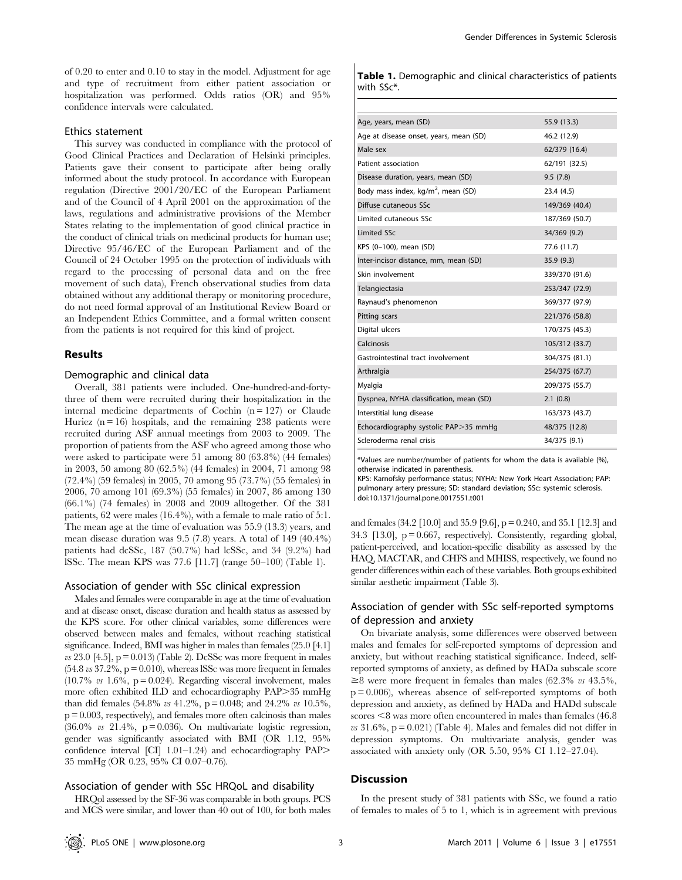of 0.20 to enter and 0.10 to stay in the model. Adjustment for age and type of recruitment from either patient association or hospitalization was performed. Odds ratios (OR) and 95% confidence intervals were calculated.

# Ethics statement

This survey was conducted in compliance with the protocol of Good Clinical Practices and Declaration of Helsinki principles. Patients gave their consent to participate after being orally informed about the study protocol. In accordance with European regulation (Directive 2001/20/EC of the European Parliament and of the Council of 4 April 2001 on the approximation of the laws, regulations and administrative provisions of the Member States relating to the implementation of good clinical practice in the conduct of clinical trials on medicinal products for human use; Directive 95/46/EC of the European Parliament and of the Council of 24 October 1995 on the protection of individuals with regard to the processing of personal data and on the free movement of such data), French observational studies from data obtained without any additional therapy or monitoring procedure, do not need formal approval of an Institutional Review Board or an Independent Ethics Committee, and a formal written consent from the patients is not required for this kind of project.

## Results

# Demographic and clinical data

Overall, 381 patients were included. One-hundred-and-fortythree of them were recruited during their hospitalization in the internal medicine departments of Cochin  $(n = 127)$  or Claude Huriez ( $n = 16$ ) hospitals, and the remaining 238 patients were recruited during ASF annual meetings from 2003 to 2009. The proportion of patients from the ASF who agreed among those who were asked to participate were 51 among 80 (63.8%) (44 females) in 2003, 50 among 80 (62.5%) (44 females) in 2004, 71 among 98 (72.4%) (59 females) in 2005, 70 among 95 (73.7%) (55 females) in 2006, 70 among 101 (69.3%) (55 females) in 2007, 86 among 130 (66.1%) (74 females) in 2008 and 2009 alltogether. Of the 381 patients, 62 were males (16.4%), with a female to male ratio of 5:1. The mean age at the time of evaluation was 55.9 (13.3) years, and mean disease duration was 9.5 (7.8) years. A total of 149 (40.4%) patients had dcSSc, 187 (50.7%) had lcSSc, and 34 (9.2%) had lSSc. The mean KPS was 77.6 [11.7] (range 50–100) (Table 1).

#### Association of gender with SSc clinical expression

Males and females were comparable in age at the time of evaluation and at disease onset, disease duration and health status as assessed by the KPS score. For other clinical variables, some differences were observed between males and females, without reaching statistical significance. Indeed, BMI was higher in males than females (25.0 [4.1]  $\omega$  23.0 [4.5], p = 0.013) (Table 2). DcSSc was more frequent in males  $(54.8 \text{ vs } 37.2\% , p = 0.010)$ , whereas ISSc was more frequent in females  $(10.7\% \text{ vs } 1.6\%, \text{ p} = 0.024)$ . Regarding visceral involvement, males more often exhibited ILD and echocardiography PAP>35 mmHg than did females (54.8% vs 41.2%, p = 0.048; and 24.2% vs 10.5%,  $p = 0.003$ , respectively), and females more often calcinosis than males  $(36.0\% \text{ vs } 21.4\%, \text{ p} = 0.036)$ . On multivariate logistic regression, gender was significantly associated with BMI (OR 1.12, 95% confidence interval [CI] 1.01-1.24) and echocardiography PAP> 35 mmHg (OR 0.23, 95% CI 0.07–0.76).

## Association of gender with SSc HRQoL and disability

HRQol assessed by the SF-36 was comparable in both groups. PCS and MCS were similar, and lower than 40 out of 100, for both males

|            |  | <b>Table 1.</b> Demographic and clinical characteristics of patients |  |
|------------|--|----------------------------------------------------------------------|--|
| with SSc*. |  |                                                                      |  |

| Age, years, mean (SD)                          | 55.9 (13.3)    |
|------------------------------------------------|----------------|
| Age at disease onset, years, mean (SD)         | 46.2 (12.9)    |
| Male sex                                       | 62/379 (16.4)  |
| Patient association                            | 62/191 (32.5)  |
| Disease duration, years, mean (SD)             | 9.5(7.8)       |
| Body mass index, kg/m <sup>2</sup> , mean (SD) | 23.4 (4.5)     |
| Diffuse cutaneous SSc                          | 149/369 (40.4) |
| Limited cutaneous SSc                          | 187/369 (50.7) |
| <b>Limited SSc</b>                             | 34/369 (9.2)   |
| KPS (0-100), mean (SD)                         | 77.6 (11.7)    |
| Inter-incisor distance, mm, mean (SD)          | 35.9(9.3)      |
| Skin involvement                               | 339/370 (91.6) |
| Telangiectasia                                 | 253/347 (72.9) |
| Raynaud's phenomenon                           | 369/377 (97.9) |
| Pitting scars                                  | 221/376 (58.8) |
| Digital ulcers                                 | 170/375 (45.3) |
| Calcinosis                                     | 105/312 (33.7) |
| Gastrointestinal tract involvement             | 304/375 (81.1) |
| Arthralgia                                     | 254/375 (67.7) |
| Myalgia                                        | 209/375 (55.7) |
| Dyspnea, NYHA classification, mean (SD)        | 2.1(0.8)       |
| Interstitial lung disease                      | 163/373 (43.7) |
| Echocardiography systolic PAP>35 mmHg          | 48/375 (12.8)  |
| Scleroderma renal crisis                       | 34/375 (9.1)   |

\*Values are number/number of patients for whom the data is available (%), otherwise indicated in parenthesis.

KPS: Karnofsky performance status; NYHA: New York Heart Association; PAP: pulmonary artery pressure; SD: standard deviation; SSc: systemic sclerosis. doi:10.1371/journal.pone.0017551.t001

and females (34.2 [10.0] and 35.9 [9.6], p = 0.240, and 35.1 [12.3] and 34.3  $[13.0]$ ,  $p = 0.667$ , respectively). Consistently, regarding global, patient-perceived, and location-specific disability as assessed by the HAQ, MACTAR, and CHFS and MHISS, respectively, we found no gender differences within each of these variables. Both groups exhibited similar aesthetic impairment (Table 3).

# Association of gender with SSc self-reported symptoms of depression and anxiety

On bivariate analysis, some differences were observed between males and females for self-reported symptoms of depression and anxiety, but without reaching statistical significance. Indeed, selfreported symptoms of anxiety, as defined by HADa subscale score  $\geq$ 8 were more frequent in females than males (62.3% vs 43.5%,  $p = 0.006$ ), whereas absence of self-reported symptoms of both depression and anxiety, as defined by HADa and HADd subscale  $scores \leq 8$  was more often encountered in males than females (46.8)  $vs$  31.6%,  $p = 0.021$ ) (Table 4). Males and females did not differ in depression symptoms. On multivariate analysis, gender was associated with anxiety only (OR 5.50, 95% CI 1.12–27.04).

#### **Discussion**

In the present study of 381 patients with SSc, we found a ratio of females to males of 5 to 1, which is in agreement with previous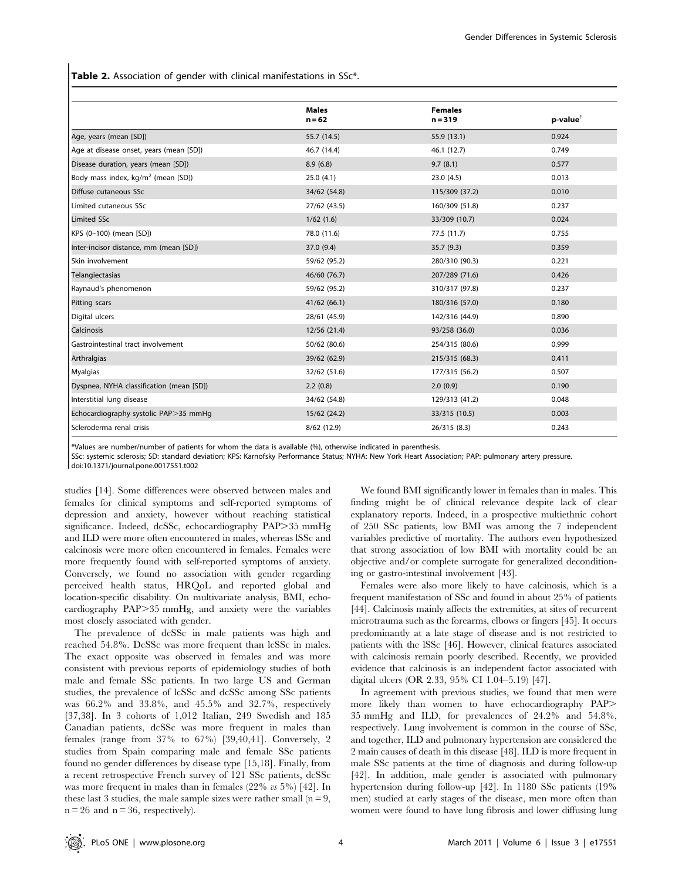Table 2. Association of gender with clinical manifestations in SSc<sup>\*</sup>.

|                                                | <b>Males</b><br>$n = 62$ | <b>Females</b><br>$n = 319$ | p-value <sup>†</sup> |
|------------------------------------------------|--------------------------|-----------------------------|----------------------|
| Age, years (mean [SD])                         | 55.7 (14.5)              | 55.9 (13.1)                 | 0.924                |
| Age at disease onset, years (mean [SD])        | 46.7 (14.4)              | 46.1 (12.7)                 | 0.749                |
| Disease duration, years (mean [SD])            | 8.9(6.8)                 | 9.7(8.1)                    | 0.577                |
| Body mass index, kg/m <sup>2</sup> (mean [SD]) | 25.0(4.1)                | 23.0(4.5)                   | 0.013                |
| Diffuse cutaneous SSc                          | 34/62 (54.8)             | 115/309 (37.2)              | 0.010                |
| Limited cutaneous SSc                          | 27/62 (43.5)             | 160/309 (51.8)              | 0.237                |
| <b>Limited SSc</b>                             | 1/62(1.6)                | 33/309 (10.7)               | 0.024                |
| KPS (0-100) (mean [SD])                        | 78.0 (11.6)              | 77.5 (11.7)                 | 0.755                |
| Inter-incisor distance, mm (mean [SD])         | 37.0 (9.4)               | 35.7(9.3)                   | 0.359                |
| Skin involvement                               | 59/62 (95.2)             | 280/310 (90.3)              | 0.221                |
| Telangiectasias                                | 46/60 (76.7)             | 207/289 (71.6)              | 0.426                |
| Raynaud's phenomenon                           | 59/62 (95.2)             | 310/317 (97.8)              | 0.237                |
| Pitting scars                                  | 41/62 (66.1)             | 180/316 (57.0)              | 0.180                |
| Digital ulcers                                 | 28/61 (45.9)             | 142/316 (44.9)              | 0.890                |
| <b>Calcinosis</b>                              | 12/56 (21.4)             | 93/258 (36.0)               | 0.036                |
| Gastrointestinal tract involvement             | 50/62 (80.6)             | 254/315 (80.6)              | 0.999                |
| Arthralgias                                    | 39/62 (62.9)             | 215/315 (68.3)              | 0.411                |
| Myalgias                                       | 32/62 (51.6)             | 177/315 (56.2)              | 0.507                |
| Dyspnea, NYHA classification (mean [SD])       | 2.2(0.8)                 | 2.0(0.9)                    | 0.190                |
| Interstitial lung disease                      | 34/62 (54.8)             | 129/313 (41.2)              | 0.048                |
| Echocardiography systolic PAP>35 mmHg          | 15/62 (24.2)             | 33/315 (10.5)               | 0.003                |
| Scleroderma renal crisis                       | 8/62 (12.9)              | 26/315 (8.3)                | 0.243                |

\*Values are number/number of patients for whom the data is available (%), otherwise indicated in parenthesis.

SSc: systemic sclerosis; SD: standard deviation; KPS: Karnofsky Performance Status; NYHA: New York Heart Association; PAP: pulmonary artery pressure. doi:10.1371/journal.pone.0017551.t002

studies [14]. Some differences were observed between males and females for clinical symptoms and self-reported symptoms of depression and anxiety, however without reaching statistical significance. Indeed, dcSSc, echocardiography PAP>35 mmHg and ILD were more often encountered in males, whereas lSSc and calcinosis were more often encountered in females. Females were more frequently found with self-reported symptoms of anxiety. Conversely, we found no association with gender regarding perceived health status, HRQoL and reported global and location-specific disability. On multivariate analysis, BMI, echocardiography  $PAP > 35$  mmHg, and anxiety were the variables most closely associated with gender.

The prevalence of dcSSc in male patients was high and reached 54.8%. DcSSc was more frequent than lcSSc in males. The exact opposite was observed in females and was more consistent with previous reports of epidemiology studies of both male and female SSc patients. In two large US and German studies, the prevalence of lcSSc and dcSSc among SSc patients was 66.2% and 33.8%, and 45.5% and 32.7%, respectively [37,38]. In 3 cohorts of 1,012 Italian, 249 Swedish and 185 Canadian patients, dcSSc was more frequent in males than females (range from 37% to 67%) [39,40,41]. Conversely, 2 studies from Spain comparing male and female SSc patients found no gender differences by disease type [15,18]. Finally, from a recent retrospective French survey of 121 SSc patients, dcSSc was more frequent in males than in females  $(22\% \text{ vs } 5\%)$  [42]. In these last 3 studies, the male sample sizes were rather small ( $n = 9$ ,  $n = 26$  and  $n = 36$ , respectively).

We found BMI significantly lower in females than in males. This finding might be of clinical relevance despite lack of clear explanatory reports. Indeed, in a prospective multiethnic cohort of 250 SSc patients, low BMI was among the 7 independent variables predictive of mortality. The authors even hypothesized that strong association of low BMI with mortality could be an objective and/or complete surrogate for generalized deconditioning or gastro-intestinal involvement [43].

Females were also more likely to have calcinosis, which is a frequent manifestation of SSc and found in about 25% of patients [44]. Calcinosis mainly affects the extremities, at sites of recurrent microtrauma such as the forearms, elbows or fingers [45]. It occurs predominantly at a late stage of disease and is not restricted to patients with the lSSc [46]. However, clinical features associated with calcinosis remain poorly described. Recently, we provided evidence that calcinosis is an independent factor associated with digital ulcers (OR 2.33, 95% CI 1.04–5.19) [47].

In agreement with previous studies, we found that men were more likely than women to have echocardiography PAP> 35 mmHg and ILD, for prevalences of 24.2% and 54.8%, respectively. Lung involvement is common in the course of SSc, and together, ILD and pulmonary hypertension are considered the 2 main causes of death in this disease [48]. ILD is more frequent in male SSc patients at the time of diagnosis and during follow-up [42]. In addition, male gender is associated with pulmonary hypertension during follow-up [42]. In 1180 SSc patients (19% men) studied at early stages of the disease, men more often than women were found to have lung fibrosis and lower diffusing lung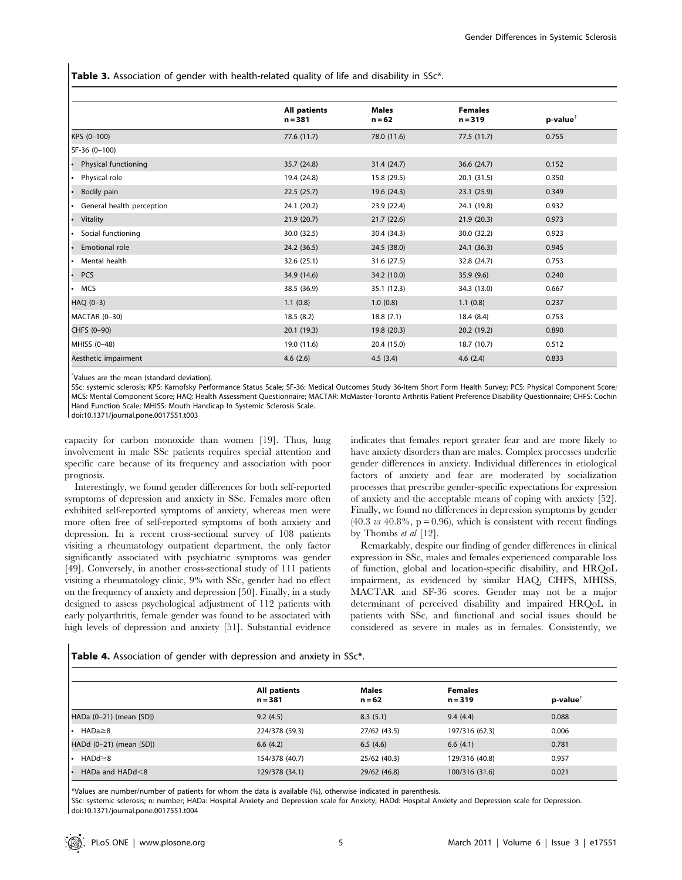Table 3. Association of gender with health-related quality of life and disability in SSc\*.

|                                        | <b>All patients</b><br>$n = 381$ | <b>Males</b><br>$n = 62$ | <b>Females</b><br>$n = 319$ | p-value <sup>†</sup> |
|----------------------------------------|----------------------------------|--------------------------|-----------------------------|----------------------|
| KPS (0-100)                            | 77.6 (11.7)                      | 78.0 (11.6)              | 77.5(11.7)                  | 0.755                |
| SF-36 (0-100)                          |                                  |                          |                             |                      |
| Physical functioning<br>٠.             | 35.7 (24.8)                      | 31.4 (24.7)              | 36.6 (24.7)                 | 0.152                |
| Physical role<br>I۰                    | 19.4 (24.8)                      | 15.8 (29.5)              | 20.1 (31.5)                 | 0.350                |
| Bodily pain<br>$\bullet$               | 22.5(25.7)                       | 19.6 (24.3)              | 23.1(25.9)                  | 0.349                |
| General health perception<br>$\bullet$ | 24.1 (20.2)                      | 23.9 (22.4)              | 24.1 (19.8)                 | 0.932                |
| Vitality<br>$\bullet$                  | 21.9(20.7)                       | 21.7(22.6)               | 21.9(20.3)                  | 0.973                |
| Social functioning<br>٠.               | 30.0 (32.5)                      | 30.4 (34.3)              | 30.0 (32.2)                 | 0.923                |
| Emotional role<br>٠                    | 24.2 (36.5)                      | 24.5 (38.0)              | 24.1 (36.3)                 | 0.945                |
| Mental health<br>I۰                    | 32.6 (25.1)                      | 31.6 (27.5)              | 32.8 (24.7)                 | 0.753                |
| <b>PCS</b><br>٠                        | 34.9 (14.6)                      | 34.2 (10.0)              | 35.9(9.6)                   | 0.240                |
| <b>MCS</b><br>$\bullet$                | 38.5 (36.9)                      | 35.1 (12.3)              | 34.3 (13.0)                 | 0.667                |
| HAQ (0-3)                              | 1.1(0.8)                         | 1.0(0.8)                 | 1.1(0.8)                    | 0.237                |
| MACTAR (0-30)                          | 18.5(8.2)                        | 18.8(7.1)                | 18.4(8.4)                   | 0.753                |
| CHFS (0-90)                            | 20.1(19.3)                       | 19.8 (20.3)              | 20.2(19.2)                  | 0.890                |
| MHISS (0-48)                           | 19.0 (11.6)                      | 20.4 (15.0)              | 18.7 (10.7)                 | 0.512                |
| Aesthetic impairment                   | 4.6(2.6)                         | 4.5(3.4)                 | 4.6(2.4)                    | 0.833                |

\* Values are the mean (standard deviation).

SSc: systemic sclerosis; KPS: Karnofsky Performance Status Scale; SF-36: Medical Outcomes Study 36-Item Short Form Health Survey; PCS: Physical Component Score; MCS: Mental Component Score; HAQ: Health Assessment Questionnaire; MACTAR: McMaster-Toronto Arthritis Patient Preference Disability Questionnaire; CHFS: Cochin Hand Function Scale; MHISS: Mouth Handicap In Systemic Sclerosis Scale.

doi:10.1371/journal.pone.0017551.t003

capacity for carbon monoxide than women [19]. Thus, lung involvement in male SSc patients requires special attention and specific care because of its frequency and association with poor prognosis.

Interestingly, we found gender differences for both self-reported symptoms of depression and anxiety in SSc. Females more often exhibited self-reported symptoms of anxiety, whereas men were more often free of self-reported symptoms of both anxiety and depression. In a recent cross-sectional survey of 108 patients visiting a rheumatology outpatient department, the only factor significantly associated with psychiatric symptoms was gender [49]. Conversely, in another cross-sectional study of 111 patients visiting a rheumatology clinic, 9% with SSc, gender had no effect on the frequency of anxiety and depression [50]. Finally, in a study designed to assess psychological adjustment of 112 patients with early polyarthritis, female gender was found to be associated with high levels of depression and anxiety [51]. Substantial evidence

indicates that females report greater fear and are more likely to have anxiety disorders than are males. Complex processes underlie gender differences in anxiety. Individual differences in etiological factors of anxiety and fear are moderated by socialization processes that prescribe gender-specific expectations for expression of anxiety and the acceptable means of coping with anxiety [52]. Finally, we found no differences in depression symptoms by gender  $(40.3 \text{ vs } 40.8\% , p = 0.96)$ , which is consistent with recent findings by Thombs et al [12].

Remarkably, despite our finding of gender differences in clinical expression in SSc, males and females experienced comparable loss of function, global and location-specific disability, and HRQoL impairment, as evidenced by similar HAQ, CHFS, MHISS, MACTAR and SF-36 scores. Gender may not be a major determinant of perceived disability and impaired HRQoL in patients with SSc, and functional and social issues should be considered as severe in males as in females. Consistently, we

Table 4. Association of gender with depression and anxiety in SSc\*.

|                           | <b>All patients</b><br>$n = 381$ | <b>Males</b><br>$n = 62$ | <b>Females</b><br>$n = 319$ | $p$ -value $^{\dagger}$ |  |
|---------------------------|----------------------------------|--------------------------|-----------------------------|-------------------------|--|
| HADa (0-21) (mean [SD])   | 9.2(4.5)                         | 8.3(5.1)                 | 9.4(4.4)                    | 0.088                   |  |
| HADa≥8<br>ı٠              | 224/378 (59.3)                   | 27/62 (43.5)             | 197/316 (62.3)              | 0.006                   |  |
| HADd (0-21) (mean [SD])   | 6.6(4.2)                         | 6.5(4.6)                 | 6.6(4.1)                    | 0.781                   |  |
| HADd≥8<br>ı٠              | 154/378 (40.7)                   | 25/62 (40.3)             | 129/316 (40.8)              | 0.957                   |  |
| HADa and $HADd < 8$<br>ı٠ | 129/378 (34.1)                   | 29/62 (46.8)             | 100/316 (31.6)              | 0.021                   |  |

\*Values are number/number of patients for whom the data is available (%), otherwise indicated in parenthesis.

SSc: systemic sclerosis; n: number; HADa: Hospital Anxiety and Depression scale for Anxiety; HADd: Hospital Anxiety and Depression scale for Depression. doi:10.1371/journal.pone.0017551.t004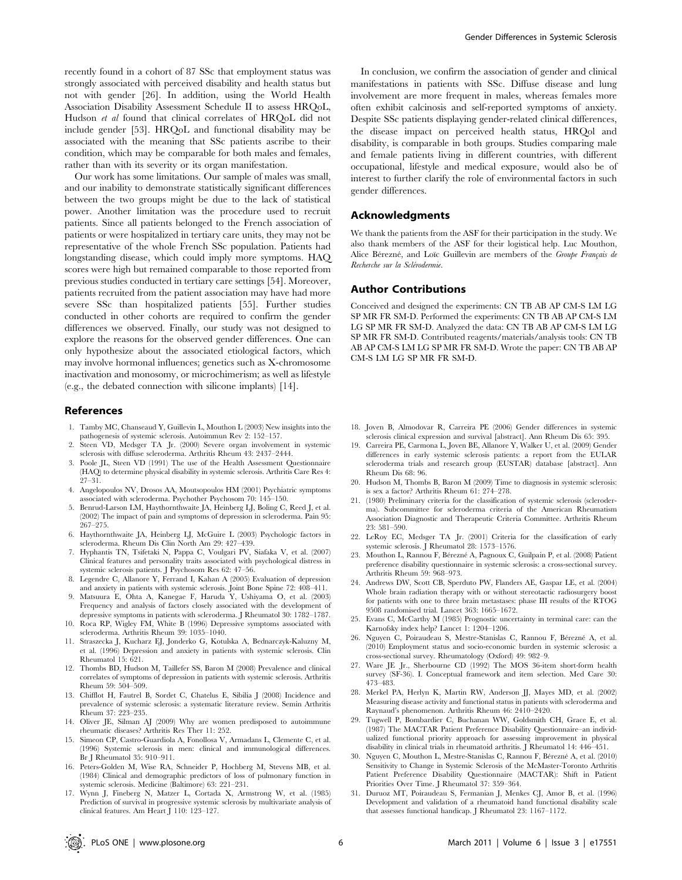recently found in a cohort of 87 SSc that employment status was strongly associated with perceived disability and health status but not with gender [26]. In addition, using the World Health Association Disability Assessment Schedule II to assess HRQoL, Hudson et al found that clinical correlates of HRQoL did not include gender [53]. HRQoL and functional disability may be associated with the meaning that SSc patients ascribe to their condition, which may be comparable for both males and females, rather than with its severity or its organ manifestation.

Our work has some limitations. Our sample of males was small, and our inability to demonstrate statistically significant differences between the two groups might be due to the lack of statistical power. Another limitation was the procedure used to recruit patients. Since all patients belonged to the French association of patients or were hospitalized in tertiary care units, they may not be representative of the whole French SSc population. Patients had longstanding disease, which could imply more symptoms. HAQ scores were high but remained comparable to those reported from previous studies conducted in tertiary care settings [54]. Moreover, patients recruited from the patient association may have had more severe SSc than hospitalized patients [55]. Further studies conducted in other cohorts are required to confirm the gender differences we observed. Finally, our study was not designed to explore the reasons for the observed gender differences. One can only hypothesize about the associated etiological factors, which may involve hormonal influences; genetics such as X-chromosome inactivation and monosomy, or microchimerism; as well as lifestyle (e.g., the debated connection with silicone implants) [14].

# References

- 1. Tamby MC, Chanseaud Y, Guillevin L, Mouthon L (2003) New insights into the pathogenesis of systemic sclerosis. Autoimmun Rev 2: 152–157.
- 2. Steen VD, Medsger TA Jr. (2000) Severe organ involvement in systemic sclerosis with diffuse scleroderma. Arthritis Rheum 43: 2437–2444.
- 3. Poole JL, Steen VD (1991) The use of the Health Assessment Questionnaire (HAQ) to determine physical disability in systemic sclerosis. Arthritis Care Res 4: 27–31.
- 4. Angelopoulos NV, Drosos AA, Moutsopoulos HM (2001) Psychiatric symptoms associated with scleroderma. Psychother Psychosom 70: 145–150.
- 5. Benrud-Larson LM, Haythornthwaite JA, Heinberg LJ, Boling C, Reed J, et al. (2002) The impact of pain and symptoms of depression in scleroderma. Pain 95: 267–275.
- 6. Haythornthwaite JA, Heinberg LJ, McGuire L (2003) Psychologic factors in scleroderma. Rheum Dis Clin North Am 29: 427–439.
- 7. Hyphantis TN, Tsifetaki N, Pappa C, Voulgari PV, Siafaka V, et al. (2007) Clinical features and personality traits associated with psychological distress in systemic sclerosis patients. J Psychosom Res 62: 47–56.
- 8. Legendre C, Allanore Y, Ferrand I, Kahan A (2005) Evaluation of depression and anxiety in patients with systemic sclerosis. Joint Bone Spine 72: 408–411.
- 9. Matsuura E, Ohta A, Kanegae F, Haruda Y, Ushiyama O, et al. (2003) Frequency and analysis of factors closely associated with the development of depressive symptoms in patients with scleroderma. J Rheumatol 30: 1782–1787.
- 10. Roca RP, Wigley FM, White B (1996) Depressive symptoms associated with scleroderma. Arthritis Rheum 39: 1035–1040.
- 11. Straszecka J, Kucharz EJ, Jonderko G, Kotulska A, Bednarczyk-Kaluzny M, et al. (1996) Depression and anxiety in patients with systemic sclerosis. Clin Rheumatol 15: 621.
- 12. Thombs BD, Hudson M, Taillefer SS, Baron M (2008) Prevalence and clinical correlates of symptoms of depression in patients with systemic sclerosis. Arthritis Rheum 59: 504–509.
- 13. Chifflot H, Fautrel B, Sordet C, Chatelus E, Sibilia J (2008) Incidence and prevalence of systemic sclerosis: a systematic literature review. Semin Arthritis Rheum 37: 223–235.
- 14. Oliver JE, Silman AJ (2009) Why are women predisposed to autoimmune rheumatic diseases? Arthritis Res Ther 11: 252.
- 15. Simeon CP, Castro-Guardiola A, Fonollosa V, Armadans L, Clemente C, et al. (1996) Systemic sclerosis in men: clinical and immunological differences. Br J Rheumatol 35: 910–911.
- 16. Peters-Golden M, Wise RA, Schneider P, Hochberg M, Stevens MB, et al. (1984) Clinical and demographic predictors of loss of pulmonary function in systemic sclerosis. Medicine (Baltimore) 63: 221–231.
- 17. Wynn J, Fineberg N, Matzer L, Cortada X, Armstrong W, et al. (1985) Prediction of survival in progressive systemic sclerosis by multivariate analysis of clinical features. Am Heart J 110: 123–127.

In conclusion, we confirm the association of gender and clinical manifestations in patients with SSc. Diffuse disease and lung involvement are more frequent in males, whereas females more often exhibit calcinosis and self-reported symptoms of anxiety. Despite SSc patients displaying gender-related clinical differences, the disease impact on perceived health status, HRQol and disability, is comparable in both groups. Studies comparing male and female patients living in different countries, with different occupational, lifestyle and medical exposure, would also be of interest to further clarify the role of environmental factors in such gender differences.

# Acknowledgments

We thank the patients from the ASF for their participation in the study. We also thank members of the ASF for their logistical help. Luc Mouthon, Alice Bérezné, and Loïc Guillevin are members of the Groupe Français de Recherche sur la Sclérodermie.

## Author Contributions

Conceived and designed the experiments: CN TB AB AP CM-S LM LG SP MR FR SM-D. Performed the experiments: CN TB AB AP CM-S LM LG SP MR FR SM-D. Analyzed the data: CN TB AB AP CM-S LM LG SP MR FR SM-D. Contributed reagents/materials/analysis tools: CN TB AB AP CM-S LM LG SP MR FR SM-D. Wrote the paper: CN TB AB AP CM-S LM LG SP MR FR SM-D.

- 18. Joven B, Almodovar R, Carreira PE (2006) Gender differences in systemic sclerosis clinical expression and survival [abstract]. Ann Rheum Dis 65: 395.
- 19. Carreira PE, Carmona L, Joven BE, Allanore Y, Walker U, et al. (2009) Gender differences in early systemic sclerosis patients: a report from the EULAR scleroderma trials and research group (EUSTAR) database [abstract]. Ann Rheum Dis 68: 96.
- 20. Hudson M, Thombs B, Baron M (2009) Time to diagnosis in systemic sclerosis: is sex a factor? Arthritis Rheum 61: 274–278.
- 21. (1980) Preliminary criteria for the classification of systemic sclerosis (scleroderma). Subcommittee for scleroderma criteria of the American Rheumatism Association Diagnostic and Therapeutic Criteria Committee. Arthritis Rheum 23: 581–590.
- 22. LeRoy EC, Medsger TA Jr. (2001) Criteria for the classification of early systemic sclerosis. J Rheumatol 28: 1573–1576.
- 23. Mouthon L, Rannou F, Bérezné A, Pagnoux C, Guilpain P, et al. (2008) Patient preference disability questionnaire in systemic sclerosis: a cross-sectional survey. Arthritis Rheum 59: 968–973.
- 24. Andrews DW, Scott CB, Sperduto PW, Flanders AE, Gaspar LE, et al. (2004) Whole brain radiation therapy with or without stereotactic radiosurgery boost for patients with one to three brain metastases: phase III results of the RTOG 9508 randomised trial. Lancet 363: 1665–1672.
- 25. Evans C, McCarthy M (1985) Prognostic uncertainty in terminal care: can the Karnofsky index help? Lancet 1: 1204–1206.
- 26. Nguyen C, Poiraudeau S, Mestre-Stanislas C, Rannou F, Bérezné A, et al. (2010) Employment status and socio-economic burden in systemic sclerosis: a cross-sectional survey. Rheumatology (Oxford) 49: 982–9.
- 27. Ware JE Jr., Sherbourne CD (1992) The MOS 36-item short-form health survey (SF-36). I. Conceptual framework and item selection. Med Care 30: 473–483.
- 28. Merkel PA, Herlyn K, Martin RW, Anderson JJ, Mayes MD, et al. (2002) Measuring disease activity and functional status in patients with scleroderma and Raynaud's phenomenon. Arthritis Rheum 46: 2410–2420.
- 29. Tugwell P, Bombardier C, Buchanan WW, Goldsmith CH, Grace E, et al. (1987) The MACTAR Patient Preference Disability Questionnaire–an individualized functional priority approach for assessing improvement in physical disability in clinical trials in rheumatoid arthritis. J Rheumatol 14: 446–451.
- 30. Nguyen C, Mouthon L, Mestre-Stanislas C, Rannou F, Bérezné A, et al. (2010) Sensitivity to Change in Systemic Sclerosis of the McMaster-Toronto Arthritis Patient Preference Disability Questionnaire (MACTAR): Shift in Patient Priorities Over Time. J Rheumatol 37: 359–364.
- 31. Duruoz MT, Poiraudeau S, Fermanian J, Menkes CJ, Amor B, et al. (1996) Development and validation of a rheumatoid hand functional disability scale that assesses functional handicap. J Rheumatol 23: 1167–1172.